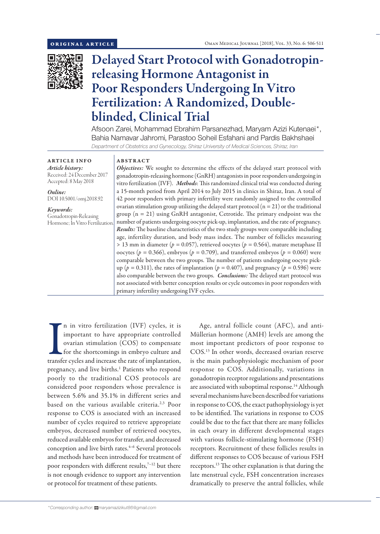

# Delayed Start Protocol with Gonadotropinreleasing Hormone Antagonist in Poor Responders Undergoing In Vitro Fertilization: A Randomized, Doubleblinded, Clinical Trial

Afsoon Zarei, Mohammad Ebrahim Parsanezhad, Maryam Azizi Kutenaei\*, Bahia Namavar Jahromi, Parastoo Soheil Esfahani and Pardis Bakhshaei *Department of Obstetrics and Gynecology, Shiraz University of Medical Sciences, Shiraz, Iran*

ARTICLE INFO *Article history:* Received: 24 December 2017 Accepted: 8 May 2018

*Online:* DOI 10.5001/omj.2018.92

*Keywords:*  Gonadotropin-Releasing Hormone; In Vitro Fertilization. ABSTRACT

*Objectives:* We sought to determine the effects of the delayed start protocol with gonadotropin-releasing hormone (GnRH) antagonists in poor responders undergoing in vitro fertilization (IVF). *Methods*: This randomized clinical trial was conducted during a 15-month period from April 2014 to July 2015 in clinics in Shiraz, Iran. A total of 42 poor responders with primary infertility were randomly assigned to the controlled ovarian stimulation group utilizing the delayed start protocol  $(n = 21)$  or the traditional group (n = 21) using GnRH antagonist, Cetrotide. The primary endpoint was the number of patients undergoing oocyte pick-up, implantation, and the rate of pregnancy. *Results:* The baseline characteristics of the two study groups were comparable including age, infertility duration, and body mass index. The number of follicles measuring > 13 mm in diameter (*p =* 0.057), retrieved oocytes (*p =* 0.564), mature metaphase II oocytes ( $p = 0.366$ ), embryos ( $p = 0.709$ ), and transferred embryos ( $p = 0.060$ ) were comparable between the two groups. The number of patients undergoing oocyte pickup ( $p = 0.311$ ), the rates of implantation ( $p = 0.407$ ), and pregnancy ( $p = 0.596$ ) were also comparable between the two groups. *Conclusions:* The delayed start protocol was not associated with better conception results or cycle outcomes in poor responders with primary infertility undergoing IVF cycles.

In in vitro fertilization (IVF) cycles, it is<br>important to have appropriate controlled<br>ovarian stimulation (COS) to compensate<br>for the shortcomings in embryo culture and<br>transfer cycles and increase the rate of implantatio n in vitro fertilization (IVF) cycles, it is important to have appropriate controlled ovarian stimulation (COS) to compensate for the shortcomings in embryo culture and pregnancy, and live births.<sup>1</sup> Patients who respond poorly to the traditional COS protocols are considered poor responders whose prevalence is between 5.6% and 35.1% in different series and based on the various available criteria.2,3 Poor response to COS is associated with an increased number of cycles required to retrieve appropriate embryos, decreased number of retrieved oocytes, reduced available embryos for transfer, and decreased conception and live birth rates.<sup>4-6</sup> Several protocols and methods have been introduced for treatment of poor responders with different results,<sup>7-12</sup> but there is not enough evidence to support any intervention or protocol for treatment of these patients.

Age, antral follicle count (AFC), and anti-Müllerian hormone (AMH) levels are among the most important predictors of poor response to COS.13 In other words, decreased ovarian reserve is the main pathophysiologic mechanism of poor response to COS. Additionally, variations in gonadotropin receptor regulations and presentations are associated with suboptimal response.<sup>14</sup> Although several mechanisms have been described for variations in response to COS, the exact pathophysiology is yet to be identified. The variations in response to COS could be due to the fact that there are many follicles in each ovary in different developmental stages with various follicle-stimulating hormone (FSH) receptors. Recruitment of these follicles results in different responses to COS because of various FSH receptors.13 The other explanation is that during the late menstrual cycle, FSH concentration increases dramatically to preserve the antral follicles, while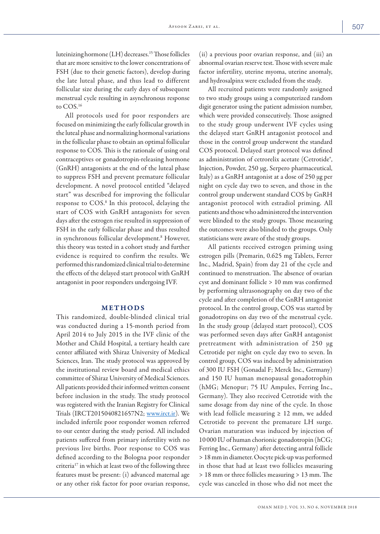luteinizing hormone (LH) decreases.15 Those follicles that are more sensitive to the lower concentrations of FSH (due to their genetic factors), develop during the late luteal phase, and thus lead to different follicular size during the early days of subsequent menstrual cycle resulting in asynchronous response to COS.<sup>16</sup>

All protocols used for poor responders are focused on minimizing the early follicular growth in the luteal phase and normalizing hormonal variations in the follicular phase to obtain an optimal follicular response to COS. This is the rationale of using oral contraceptives or gonadotropin-releasing hormone (GnRH) antagonists at the end of the luteal phase to suppress FSH and prevent premature follicular development. A novel protocol entitled "delayed start" was described for improving the follicular response to COS.8 In this protocol, delaying the start of COS with GnRH antagonists for seven days after the estrogen rise resulted in suppression of FSH in the early follicular phase and thus resulted in synchronous follicular development.8 However, this theory was tested in a cohort study and further evidence is required to confirm the results. We performed this randomized clinical trial to determine the effects of the delayed start protocol with GnRH antagonist in poor responders undergoing IVF.

## METHODS

This randomized, double-blinded clinical trial was conducted during a 15-month period from April 2014 to July 2015 in the IVF clinic of the Mother and Child Hospital, a tertiary health care center affiliated with Shiraz University of Medical Sciences, Iran. The study protocol was approved by the institutional review board and medical ethics committee of Shiraz University of Medical Sciences. All patients provided their informed written consent before inclusion in the study. The study protocol was registered with the Iranian Registry for Clinical Trials (IRCT2015040821657N2; www.irct.ir). We included infertile poor responder women referred to our center during the study period. All included patients suffered from primary infertility with no previous live births. Poor response to COS was defined according to the Bologna poor responder criteria<sup>17</sup> in which at least two of the following three features must be present: (i) advanced maternal age or any other risk factor for poor ovarian response, (ii) a previous poor ovarian response, and (iii) an abnormal ovarian reserve test. Those with severe male factor infertility, uterine myoma, uterine anomaly, and hydrosalpinx were excluded from the study.

All recruited patients were randomly assigned to two study groups using a computerized random digit generator using the patient admission number, which were provided consecutively. Those assigned to the study group underwent IVF cycles using the delayed start GnRH antagonist protocol and those in the control group underwent the standard COS protocol. Delayed start protocol was defined as administration of cetrorelix acetate (Cetrotide<sup>®</sup>, Injection, Powder, 250 µg, Serpero pharmaceutical, Italy) as a GnRH antagonist at a dose of 250 µg per night on cycle day two to seven, and those in the control group underwent standard COS by GnRH antagonist protocol with estradiol priming. All patients and those who administered the intervention were blinded to the study groups. Those measuring the outcomes were also blinded to the groups. Only statisticians were aware of the study groups.

All patients received estrogen priming using estrogen pills (Premarin, 0.625 mg Tablets, Ferrer Inc., Madrid, Spain) from day 21 of the cycle and continued to menstruation. The absence of ovarian cyst and dominant follicle > 10 mm was confirmed by performing ultrasonography on day two of the cycle and after completion of the GnRH antagonist protocol. In the control group, COS was started by gonadotropins on day two of the menstrual cycle. In the study group (delayed start protocol), COS was performed seven days after GnRH antagonist pretreatment with administration of 250 µg Cetrotide per night on cycle day two to seven. In control group, COS was induced by administration of 300 IU FSH (Gonadal F; Merck Inc., Germany) and 150 IU human menopausal gonadotrophin (hMG; Menopur; 75 IU Ampules, Ferring Inc., Germany). They also received Cetrotide with the same dosage from day nine of the cycle. In those with lead follicle measuring  $\geq 12$  mm, we added Cetrotide to prevent the premature LH surge. Ovarian maturation was induced by injection of 10 000 IU of human chorionic gonadotropin (hCG; Ferring Inc., Germany) after detecting antral follicle > 18 mm in diameter. Oocyte pick-up was performed in those that had at least two follicles measuring > 18 mm or three follicles measuring > 13 mm. The cycle was canceled in those who did not meet the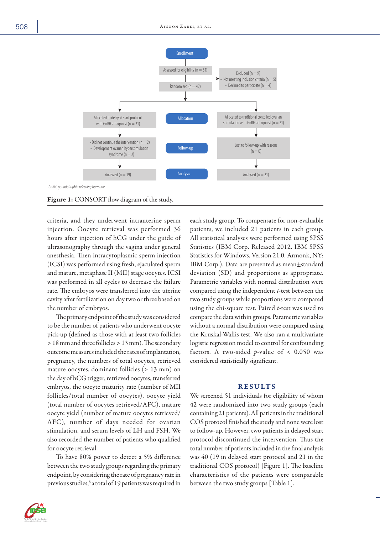

criteria, and they underwent intrauterine sperm injection. Oocyte retrieval was performed 36 hours after injection of hCG under the guide of ultrasonography through the vagina under general anesthesia. Then intracytoplasmic sperm injection (ICSI) was performed using fresh, ejaculated sperm and mature, metaphase II (MII) stage oocytes. ICSI was performed in all cycles to decrease the failure rate. The embryos were transferred into the uterine cavity after fertilization on day two or three based on the number of embryos.

The primary endpoint of the study was considered to be the number of patients who underwent oocyte pick-up (defined as those with at least two follicles > 18 mm and three follicles > 13 mm). The secondary outcome measures included the rates of implantation, pregnancy, the numbers of total oocytes, retrieved mature oocytes, dominant follicles (> 13 mm) on the day of hCG trigger, retrieved oocytes, transferred embryos, the oocyte maturity rate (number of MII follicles/total number of oocytes), oocyte yield (total number of oocytes retrieved/AFC), mature oocyte yield (number of mature oocytes retrieved/ AFC), number of days needed for ovarian stimulation, and serum levels of LH and FSH. We also recorded the number of patients who qualified for oocyte retrieval.

To have 80% power to detect a 5% difference between the two study groups regarding the primary endpoint, by considering the rate of pregnancy rate in previous studies, $^8$  a total of 19 patients was required in each study group. To compensate for non-evaluable patients, we included 21 patients in each group. All statistical analyses were performed using SPSS Statistics (IBM Corp. Released 2012. IBM SPSS Statistics for Windows, Version 21.0. Armonk, NY: IBM Corp.). Data are presented as mean±standard deviation (SD) and proportions as appropriate. Parametric variables with normal distribution were compared using the independent *t*-test between the two study groups while proportions were compared using the chi-square test. Paired *t*-test was used to compare the data within groups. Parametric variables without a normal distribution were compared using the Kruskal-Wallis test. We also ran a multivariate logistic regression model to control for confounding factors. A two-sided  $p$ -value of < 0.050 was considered statistically significant.

## RESULTS

We screened 51 individuals for eligibility of whom 42 were randomized into two study groups (each containing 21 patients). All patients in the traditional COS protocol finished the study and none were lost to follow-up. However, two patients in delayed start protocol discontinued the intervention. Thus the total number of patients included in the final analysis was 40 (19 in delayed start protocol and 21 in the traditional COS protocol) [Figure 1]. The baseline characteristics of the patients were comparable between the two study groups [Table 1].

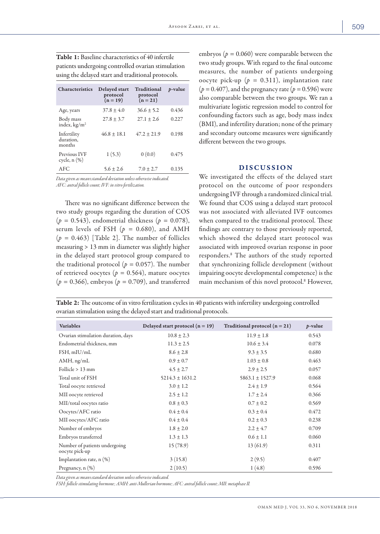| <b>Characteristics</b>             | Delayed start<br>protocol<br>$(n = 19)$ | <b>Traditional</b><br>protocol<br>$(n = 21)$ | <i>p</i> -value |
|------------------------------------|-----------------------------------------|----------------------------------------------|-----------------|
| Age, years                         | $37.8 + 4.0$                            | $36.6 + 5.2$                                 | 0.436           |
| Body mass<br>index, $kg/m2$        | $27.8 \pm 3.7$                          | $27.1 + 2.6$                                 | 0.227           |
| Infertility<br>duration.<br>months | $46.8 \pm 18.1$                         | $47.2 \pm 21.9$                              | 0.198           |
| Previous IVF<br>cycle, $n$ $(\%)$  | 1(5.3)                                  | 0(0.0)                                       | 0.475           |
| AFC                                | $5.6 + 2.6$                             | $7.0 \pm 2.7$                                | 0.135           |

Table 1: Baseline characteristics of 40 infertile patients undergoing controlled ovarian stimulation using the delayed start and traditional protocols.

*Data given as mean±standard deviation unless otherwise indicated. AFC: antral follicle count; IVF: in vitro fertilization.*

There was no significant difference between the two study groups regarding the duration of COS (*p =* 0.543), endometrial thickness (*p =* 0.078), serum levels of FSH  $(p = 0.680)$ , and AMH  $(p = 0.463)$  [Table 2]. The number of follicles measuring > 13 mm in diameter was slightly higher in the delayed start protocol group compared to the traditional protocol ( $p = 0.057$ ). The number of retrieved oocytes (*p =* 0.564), mature oocytes (*p =* 0.366), embryos (*p =* 0.709), and transferred embryos (*p =* 0.060) were comparable between the two study groups. With regard to the final outcome measures, the number of patients undergoing oocyte pick-up (*p =* 0.311), implantation rate (*p =* 0.407), and the pregnancy rate (*p =* 0.596) were also comparable between the two groups. We ran a multivariate logistic regression model to control for confounding factors such as age, body mass index (BMI), and infertility duration; none of the primary and secondary outcome measures were significantly different between the two groups.

# DISCUSSION

We investigated the effects of the delayed start protocol on the outcome of poor responders undergoing IVF through a randomized clinical trial. We found that COS using a delayed start protocol was not associated with alleviated IVF outcomes when compared to the traditional protocol. These findings are contrary to those previously reported, which showed the delayed start protocol was associated with improved ovarian response in poor responders.8 The authors of the study reported that synchronizing follicle development (without impairing oocyte developmental competence) is the main mechanism of this novel protocol.8 However,

Table 2: The outcome of in vitro fertilization cycles in 40 patients with infertility undergoing controlled ovarian stimulation using the delayed start and traditional protocols.

| <b>Variables</b>                                | Delayed start protocol $(n = 19)$ | Traditional protocol $(n = 21)$ | $p$ -value |
|-------------------------------------------------|-----------------------------------|---------------------------------|------------|
| Ovarian stimulation duration, days              | $10.8 \pm 2.3$                    | $11.9 \pm 1.8$                  | 0.543      |
| Endometrial thickness, mm                       | $11.3 \pm 2.5$                    | $10.6 \pm 3.4$                  | 0.078      |
| FSH, mIU/mL                                     | $8.6 \pm 2.8$                     | $9.3 \pm 3.5$                   | 0.680      |
| $AMH$ , ng/mL                                   | $0.9 \pm 0.7$                     | $1.03 \pm 0.8$                  | 0.463      |
| Follicle $> 13$ mm                              | $4.5 \pm 2.7$                     | $2.9 \pm 2.5$                   | 0.057      |
| Total unit of FSH                               | $5214.3 \pm 1631.2$               | $5863.1 \pm 1527.9$             | 0.068      |
| Total oocyte retrieved                          | $3.0 \pm 1.2$                     | $2.4 \pm 1.9$                   | 0.564      |
| MII oocyte retrieved                            | $2.5 \pm 1.2$                     | $1.7 \pm 2.4$                   | 0.366      |
| MII/total oocytes ratio                         | $0.8 \pm 0.3$                     | $0.7 \pm 0.2$                   | 0.569      |
| Oocytes/AFC ratio                               | $0.4 \pm 0.4$                     | $0.3 \pm 0.4$                   | 0.472      |
| MII oocytes/AFC ratio                           | $0.4 \pm 0.4$                     | $0.2 \pm 0.3$                   | 0.238      |
| Number of embryos                               | $1.8 \pm 2.0$                     | $2.2 \pm 4.7$                   | 0.709      |
| Embryos transferred                             | $1.3 \pm 1.3$                     | $0.6 \pm 1.1$                   | 0.060      |
| Number of patients undergoing<br>oocyte pick-up | 15(78.9)                          | 13(61.9)                        | 0.311      |
| Implantation rate, n (%)                        | 3(15.8)                           | 2(9.5)                          | 0.407      |
| Pregnancy, $n$ $(\%)$                           | 2(10.5)                           | 1(4.8)                          | 0.596      |

*Data given as mean±standard deviation unless otherwise indicated.* 

*FSH: follicle-stimulating hormone; AMH: anti-Mullerian hormone; AFC: antral follicle count; MII: metaphase II.*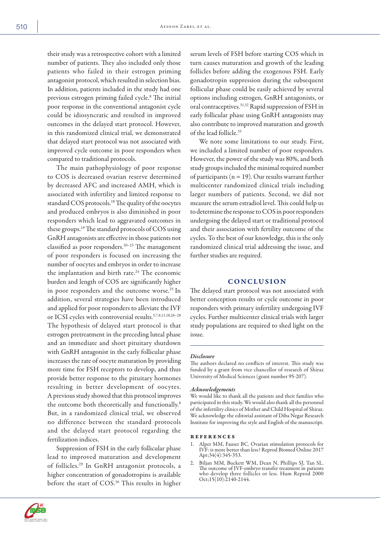their study was a retrospective cohort with a limited number of patients. They also included only those patients who failed in their estrogen priming antagonist protocol, which resulted in selection bias. In addition, patients included in the study had one previous estrogen priming failed cycle.8 The initial poor response in the conventional antagonist cycle could be idiosyncratic and resulted in improved outcomes in the delayed start protocol. However, in this randomized clinical trial, we demonstrated that delayed start protocol was not associated with improved cycle outcome in poor responders when compared to traditional protocols.

The main pathophysiology of poor response to COS is decreased ovarian reserve determined by decreased AFC and increased AMH, which is associated with infertility and limited response to standard COS protocols.18 The quality of the oocytes and produced embryos is also diminished in poor responders which lead to aggravated outcomes in these groups.19 The standard protocols of COS using GnRH antagonists are effective in those patients not classified as poor responders.20–23 The management of poor responders is focused on increasing the number of oocytes and embryos in order to increase the implantation and birth rate.<sup>24</sup> The economic burden and length of COS are significantly higher in poor responders and the outcome worse.<sup>25</sup> In addition, several strategies have been introduced and applied for poor responders to alleviate the IVF or ICSI cycles with controversial results.5,7,8,11,18,26–28 The hypothesis of delayed start protocol is that estrogen pretreatment in the preceding luteal phase and an immediate and short pituitary shutdown with GnRH antagonist in the early follicular phase increases the rate of oocyte maturation by providing more time for FSH receptors to develop, and thus provide better response to the pituitary hormones resulting in better development of oocytes. A previous study showed that this protocol improves the outcome both theoretically and functionally.<sup>8</sup> But, in a randomized clinical trial, we observed no difference between the standard protocols and the delayed start protocol regarding the fertilization indices.

Suppression of FSH in the early follicular phase lead to improved maturation and development of follicles.29 In GnRH antagonist protocols, a higher concentration of gonadotropins is available before the start of COS.30 This results in higher

serum levels of FSH before starting COS which in turn causes maturation and growth of the leading follicles before adding the exogenous FSH. Early gonadotropin suppression during the subsequent follicular phase could be easily achieved by several options including estrogen, GnRH antagonists, or oral contraceptives.31,32 Rapid suppression of FSH in early follicular phase using GnRH antagonists may also contribute to improved maturation and growth of the lead follicle.33

We note some limitations to our study. First, we included a limited number of poor responders. However, the power of the study was 80%, and both study groups included the minimal required number of participants ( $n = 19$ ). Our results warrant further multicenter randomized clinical trials including larger numbers of patients. Second, we did not measure the serum estradiol level. This could help us to determine the response to COS in poor responders undergoing the delayed start or traditional protocol and their association with fertility outcome of the cycles. To the best of our knowledge, this is the only randomized clinical trial addressing the issue, and further studies are required.

## **CONCLUSION**

The delayed start protocol was not associated with better conception results or cycle outcome in poor responders with primary infertility undergoing IVF cycles. Further multicenter clinical trials with larger study populations are required to shed light on the issue.

## *Disclosure*

The authors declared no conflicts of interest. This study was funded by a grant from vice chancellor of research of Shiraz University of Medical Sciences (grant number 95-207).

#### *Acknowledgements*

We would like to thank all the patients and their families who participated in this study. We would also thank all the personnel of the infertility clinics of Mother and Child Hospital of Shiraz. We acknowledge the editorial assistant of Diba Negar Research Institute for improving the style and English of the manuscript.

#### references

- Alper MM, Fauser BC. Ovarian stimulation protocols for IVF: is more better than less? Reprod Biomed Online 2017 Apr;34(4):345-353.
- 2. Biljan MM, Buckett WM, Dean N, Phillips SJ, Tan SL. The outcome of IVF-embryo transfer treatment in patients who develop three follicles or less. Hum Reprod 2000 Oct;15(10):2140-2144.